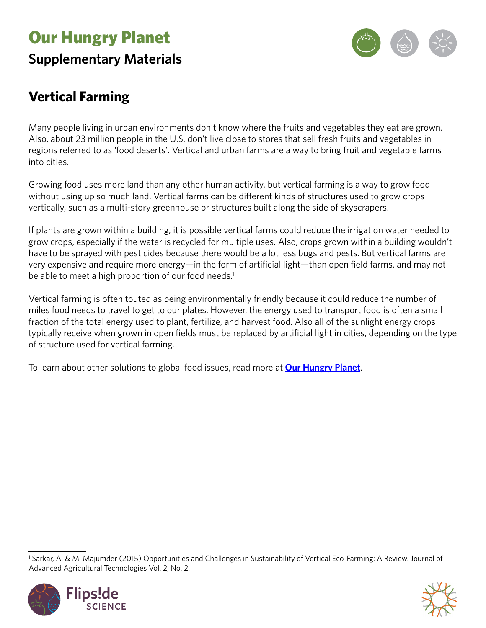# Our Hungry Planet **Supplementary Materials**



### **Vertical Farming**

Many people living in urban environments don't know where the fruits and vegetables they eat are grown. Also, about 23 million people in the U.S. don't live close to stores that sell fresh fruits and vegetables in regions referred to as 'food deserts'. Vertical and urban farms are a way to bring fruit and vegetable farms into cities.

Growing food uses more land than any other human activity, but vertical farming is a way to grow food without using up so much land. Vertical farms can be different kinds of structures used to grow crops vertically, such as a multi-story greenhouse or structures built along the side of skyscrapers.

If plants are grown within a building, it is possible vertical farms could reduce the irrigation water needed to grow crops, especially if the water is recycled for multiple uses. Also, crops grown within a building wouldn't have to be sprayed with pesticides because there would be a lot less bugs and pests. But vertical farms are very expensive and require more energy—in the form of artificial light—than open field farms, and may not be able to meet a high proportion of our food needs.<sup>1</sup>

Vertical farming is often touted as being environmentally friendly because it could reduce the number of miles food needs to travel to get to our plates. However, the energy used to transport food is often a small fraction of the total energy used to plant, fertilize, and harvest food. Also all of the sunlight energy crops typically receive when grown in open fields must be replaced by artificial light in cities, depending on the type of structure used for vertical farming.

To learn about other solutions to global food issues, read more at **[Our Hungry Planet](https://www.calacademy.org/educators/our-hungry-planet)**.

<sup>1</sup> Sarkar, A. & M. Majumder (2015) Opportunities and Challenges in Sustainability of Vertical Eco-Farming: A Review. Journal of Advanced Agricultural Technologies Vol. 2, No. 2.



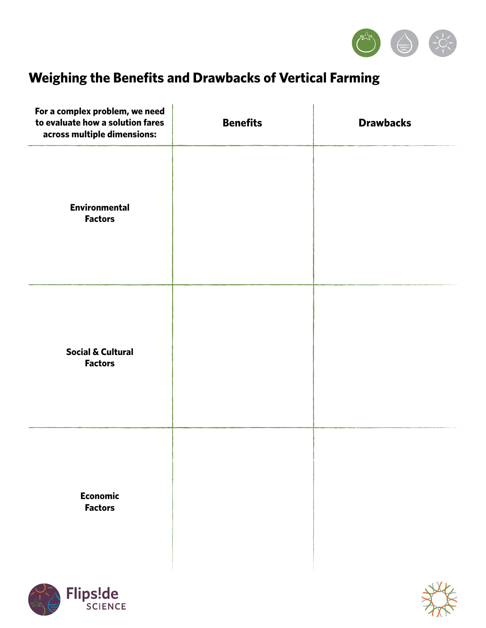

## **Weighing the Benefits and Drawbacks of Vertical Farming**

| For a complex problem, we need<br>to evaluate how a solution fares<br>across multiple dimensions: | <b>Benefits</b> | <b>Drawbacks</b> |
|---------------------------------------------------------------------------------------------------|-----------------|------------------|
| <b>Environmental</b><br><b>Factors</b>                                                            |                 |                  |
| <b>Social &amp; Cultural</b><br><b>Factors</b>                                                    |                 |                  |
| <b>Economic</b><br><b>Factors</b>                                                                 |                 |                  |